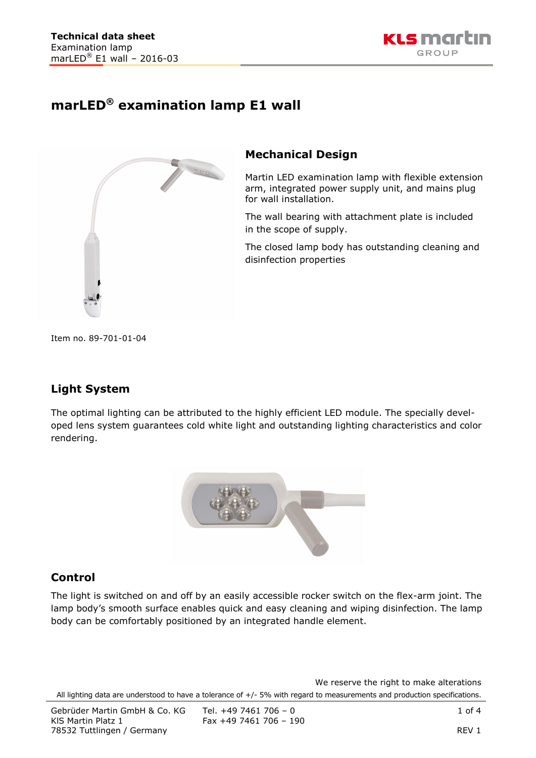

# **marLED® examination lamp E1 wall**



### **Mechanical Design**

Martin LED examination lamp with flexible extension arm, integrated power supply unit, and mains plug for wall installation.

The wall bearing with attachment plate is included in the scope of supply.

The closed lamp body has outstanding cleaning and disinfection properties

Item no. 89-701-01-04

## **Light System**

The optimal lighting can be attributed to the highly efficient LED module. The specially developed lens system guarantees cold white light and outstanding lighting characteristics and color rendering.



#### **Control**

The light is switched on and off by an easily accessible rocker switch on the flex-arm joint. The lamp body's smooth surface enables quick and easy cleaning and wiping disinfection. The lamp body can be comfortably positioned by an integrated handle element.

We reserve the right to make alterations All lighting data are understood to have a tolerance of +/- 5% with regard to measurements and production specifications.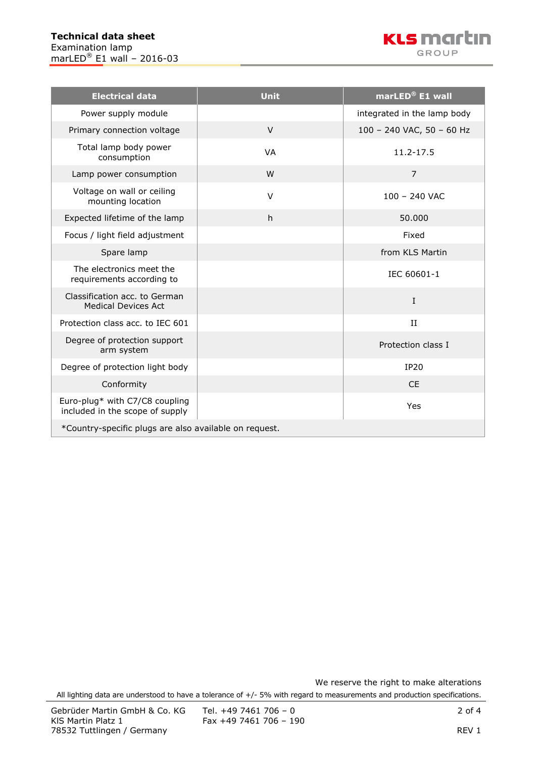

| <b>Electrical data</b>                                            | <b>Unit</b> | marLED® E1 wall             |  |  |
|-------------------------------------------------------------------|-------------|-----------------------------|--|--|
| Power supply module                                               |             | integrated in the lamp body |  |  |
| Primary connection voltage                                        | $\vee$      | 100 - 240 VAC, 50 - 60 Hz   |  |  |
| Total lamp body power<br>consumption                              | <b>VA</b>   | 11.2-17.5                   |  |  |
| Lamp power consumption                                            | W           | $\overline{7}$              |  |  |
| Voltage on wall or ceiling<br>mounting location                   | $\vee$      | $100 - 240$ VAC             |  |  |
| Expected lifetime of the lamp                                     | h.          | 50.000                      |  |  |
| Focus / light field adjustment                                    |             | Fixed                       |  |  |
| Spare lamp                                                        |             | from KLS Martin             |  |  |
| The electronics meet the<br>requirements according to             |             | IEC 60601-1                 |  |  |
| Classification acc. to German<br><b>Medical Devices Act</b>       |             | I                           |  |  |
| Protection class acc. to IEC 601                                  |             | II                          |  |  |
| Degree of protection support<br>arm system                        |             | Protection class I          |  |  |
| Degree of protection light body                                   |             | <b>IP20</b>                 |  |  |
| Conformity                                                        |             | <b>CE</b>                   |  |  |
| Euro-plug* with C7/C8 coupling<br>included in the scope of supply |             | Yes                         |  |  |
| *Country-specific plugs are also available on request.            |             |                             |  |  |

We reserve the right to make alterations

All lighting data are understood to have a tolerance of +/- 5% with regard to measurements and production specifications.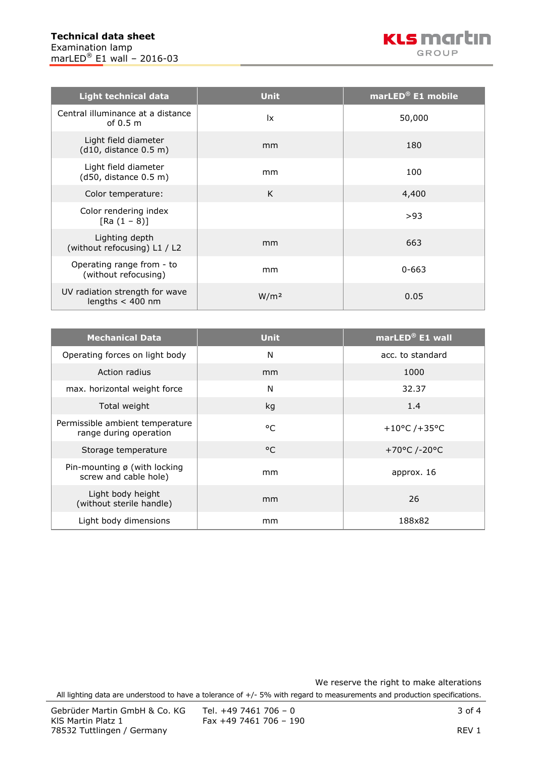| Light technical data                                 | <b>Unit</b>            | marLED® E1 mobile |
|------------------------------------------------------|------------------------|-------------------|
| Central illuminance at a distance<br>of $0.5m$       | $\mathsf{I}\mathsf{x}$ | 50,000            |
| Light field diameter<br>(d10, distance 0.5 m)        | mm                     | 180               |
| Light field diameter<br>(d50, distance 0.5 m)        | mm                     | 100               |
| Color temperature:                                   | K                      | 4,400             |
| Color rendering index<br>$[Ra (1 - 8)]$              |                        | >93               |
| Lighting depth<br>(without refocusing) L1 / L2       | mm                     | 663               |
| Operating range from - to<br>(without refocusing)    | mm                     | $0 - 663$         |
| UV radiation strength for wave<br>lengths $<$ 400 nm | W/m <sup>2</sup>       | 0.05              |

| <b>Mechanical Data</b>                                          | <b>Unit</b>  | marLED <sup>®</sup> E1 wall |
|-----------------------------------------------------------------|--------------|-----------------------------|
| Operating forces on light body                                  | N            | acc. to standard            |
| Action radius                                                   | mm           | 1000                        |
| max. horizontal weight force                                    | N            | 32.37                       |
| Total weight                                                    | kg           | 1.4                         |
| Permissible ambient temperature<br>range during operation       | $^{\circ}$ C | +10°C /+35°C                |
| Storage temperature                                             | $^{\circ}$ C | +70°C /-20°C                |
| Pin-mounting $\emptyset$ (with locking<br>screw and cable hole) | mm           | approx. 16                  |
| Light body height<br>(without sterile handle)                   | mm           | 26                          |
| Light body dimensions                                           | mm           | 188x82                      |

We reserve the right to make alterations All lighting data are understood to have a tolerance of +/- 5% with regard to measurements and production specifications.